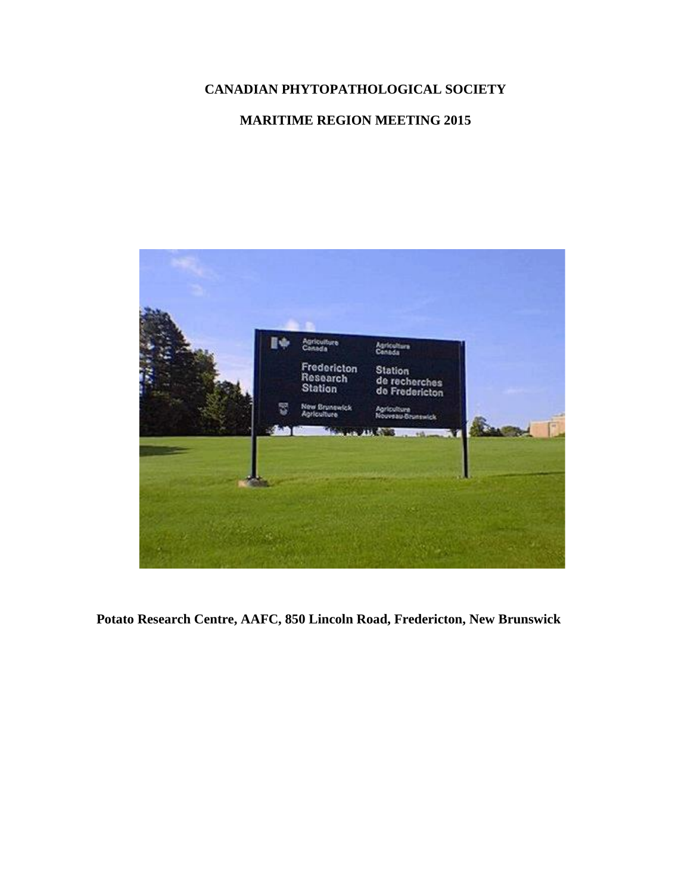# **CANADIAN PHYTOPATHOLOGICAL SOCIETY**

# **MARITIME REGION MEETING 2015**



**Potato Research Centre, AAFC, 850 Lincoln Road, Fredericton, New Brunswick**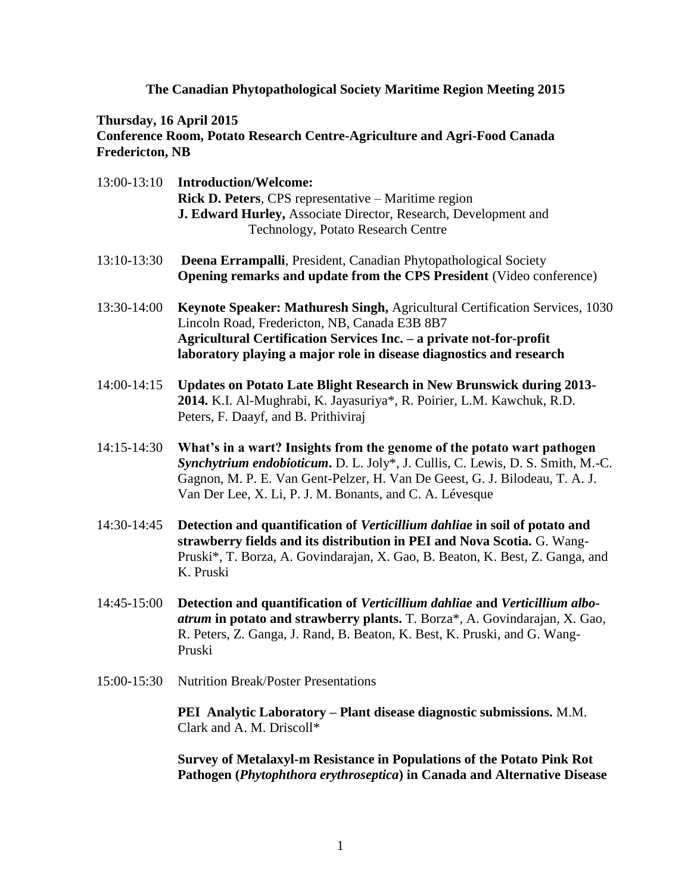# **The Canadian Phytopathological Society Maritime Region Meeting 2015**

# **Thursday, 16 April 2015 Conference Room, Potato Research Centre-Agriculture and Agri-Food Canada Fredericton, NB**

| 13:00-13:10 | <b>Introduction/Welcome:</b><br>Rick D. Peters, CPS representative - Maritime region<br>J. Edward Hurley, Associate Director, Research, Development and<br>Technology, Potato Research Centre                                                                                                       |
|-------------|-----------------------------------------------------------------------------------------------------------------------------------------------------------------------------------------------------------------------------------------------------------------------------------------------------|
| 13:10-13:30 | Deena Errampalli, President, Canadian Phytopathological Society<br>Opening remarks and update from the CPS President (Video conference)                                                                                                                                                             |
| 13:30-14:00 | Keynote Speaker: Mathuresh Singh, Agricultural Certification Services, 1030<br>Lincoln Road, Fredericton, NB, Canada E3B 8B7<br>Agricultural Certification Services Inc. - a private not-for-profit<br>laboratory playing a major role in disease diagnostics and research                          |
| 14:00-14:15 | Updates on Potato Late Blight Research in New Brunswick during 2013-<br>2014. K.I. Al-Mughrabi, K. Jayasuriya*, R. Poirier, L.M. Kawchuk, R.D.<br>Peters, F. Daayf, and B. Prithiviraj                                                                                                              |
| 14:15-14:30 | What's in a wart? Insights from the genome of the potato wart pathogen<br>Synchytrium endobioticum. D. L. Joly*, J. Cullis, C. Lewis, D. S. Smith, M.-C.<br>Gagnon, M. P. E. Van Gent-Pelzer, H. Van De Geest, G. J. Bilodeau, T. A. J.<br>Van Der Lee, X. Li, P. J. M. Bonants, and C. A. Lévesque |
| 14:30-14:45 | Detection and quantification of Verticillium dahliae in soil of potato and<br>strawberry fields and its distribution in PEI and Nova Scotia. G. Wang-<br>Pruski*, T. Borza, A. Govindarajan, X. Gao, B. Beaton, K. Best, Z. Ganga, and<br>K. Pruski                                                 |
| 14:45-15:00 | Detection and quantification of Verticillium dahliae and Verticillium albo-<br>atrum in potato and strawberry plants. T. Borza*, A. Govindarajan, X. Gao,<br>R. Peters, Z. Ganga, J. Rand, B. Beaton, K. Best, K. Pruski, and G. Wang-<br>Pruski                                                    |
| 15:00-15:30 | <b>Nutrition Break/Poster Presentations</b>                                                                                                                                                                                                                                                         |
|             | PEI Analytic Laboratory - Plant disease diagnostic submissions. M.M.<br>Clark and A. M. Driscoll*                                                                                                                                                                                                   |

**Survey of Metalaxyl-m Resistance in Populations of the Potato Pink Rot Pathogen (***Phytophthora erythroseptica***) in Canada and Alternative Disease**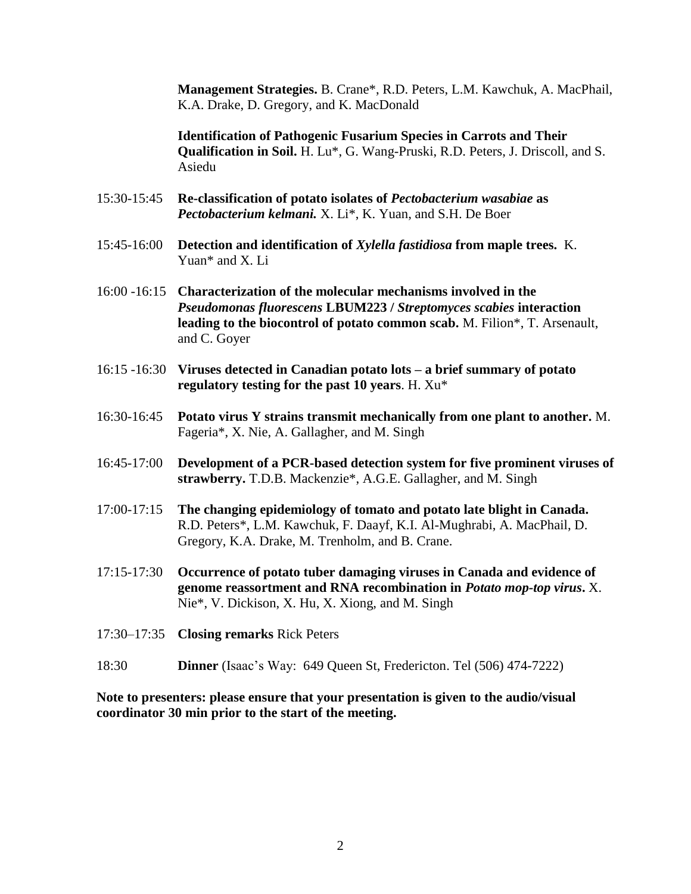**Management Strategies.** B. Crane\*, R.D. Peters, L.M. Kawchuk, A. MacPhail, K.A. Drake, D. Gregory, and K. MacDonald

**Identification of Pathogenic Fusarium Species in Carrots and Their Qualification in Soil.** H. Lu\*, G. Wang-Pruski, R.D. Peters, J. Driscoll, and S. Asiedu

- 15:30-15:45 **Re-classification of potato isolates of** *Pectobacterium wasabiae* **as**  *Pectobacterium kelmani.* X. Li\*, K. Yuan, and S.H. De Boer
- 15:45-16:00 **Detection and identification of** *Xylella fastidiosa* **from maple trees.** K. Yuan\* and X. Li
- 16:00 -16:15 **Characterization of the molecular mechanisms involved in the**  *Pseudomonas fluorescens* **LBUM223 /** *Streptomyces scabies* **interaction leading to the biocontrol of potato common scab.** M. Filion\*, T. Arsenault, and C. Goyer
- 16:15 -16:30 **Viruses detected in Canadian potato lots – a brief summary of potato regulatory testing for the past 10 years**. H. Xu\*
- 16:30-16:45 **Potato virus Y strains transmit mechanically from one plant to another.** M. Fageria\*, X. Nie, A. Gallagher, and M. Singh
- 16:45-17:00 **Development of a PCR-based detection system for five prominent viruses of strawberry.** T.D.B. Mackenzie\*, A.G.E. Gallagher, and M. Singh
- 17:00-17:15 **The changing epidemiology of tomato and potato late blight in Canada.** R.D. Peters\*, L.M. Kawchuk, F. Daayf, K.I. Al-Mughrabi, A. MacPhail, D. Gregory, K.A. Drake, M. Trenholm, and B. Crane.
- 17:15-17:30 **Occurrence of potato tuber damaging viruses in Canada and evidence of genome reassortment and RNA recombination in** *Potato mop-top virus***.** X. Nie\*, V. Dickison, X. Hu, X. Xiong, and M. Singh
- 17:30–17:35 **Closing remarks** Rick Peters
- 18:30 **Dinner** (Isaac's Way: 649 Queen St, Fredericton. Tel (506) 474-7222)

**Note to presenters: please ensure that your presentation is given to the audio/visual coordinator 30 min prior to the start of the meeting.**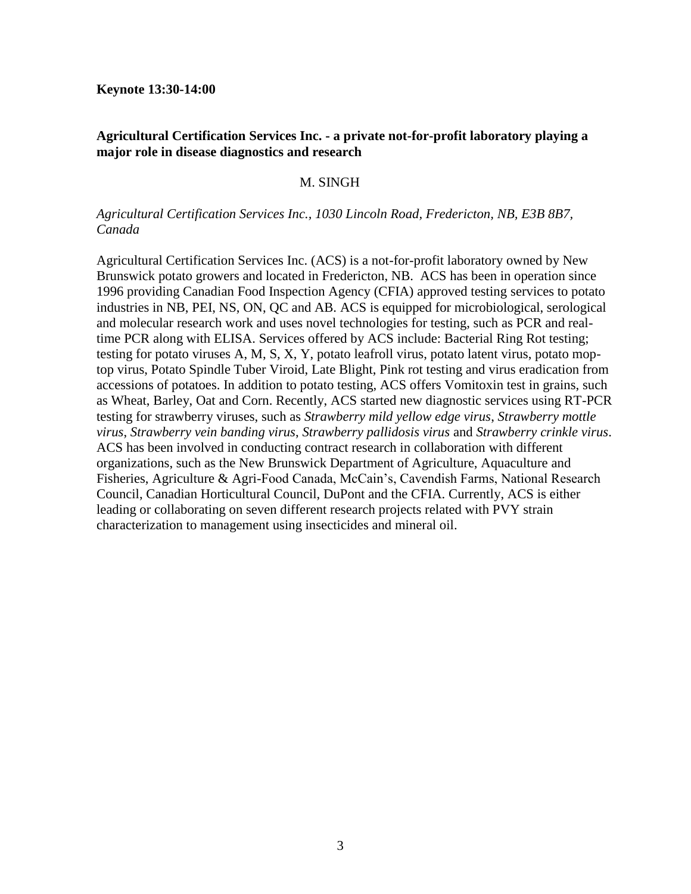#### **Keynote 13:30-14:00**

# **Agricultural Certification Services Inc. - a private not-for-profit laboratory playing a major role in disease diagnostics and research**

### M. SINGH

#### *Agricultural Certification Services Inc., 1030 Lincoln Road, Fredericton, NB, E3B 8B7, Canada*

Agricultural Certification Services Inc. (ACS) is a not-for-profit laboratory owned by New Brunswick potato growers and located in Fredericton, NB. ACS has been in operation since 1996 providing Canadian Food Inspection Agency (CFIA) approved testing services to potato industries in NB, PEI, NS, ON, QC and AB. ACS is equipped for microbiological, serological and molecular research work and uses novel technologies for testing, such as PCR and realtime PCR along with ELISA. Services offered by ACS include: Bacterial Ring Rot testing; testing for potato viruses A, M, S, X, Y, potato leafroll virus, potato latent virus, potato moptop virus, Potato Spindle Tuber Viroid, Late Blight, Pink rot testing and virus eradication from accessions of potatoes. In addition to potato testing, ACS offers Vomitoxin test in grains, such as Wheat, Barley, Oat and Corn. Recently, ACS started new diagnostic services using RT-PCR testing for strawberry viruses, such as *Strawberry mild yellow edge virus*, *Strawberry mottle virus*, *Strawberry vein banding virus*, *Strawberry pallidosis virus* and *Strawberry crinkle virus*. ACS has been involved in conducting contract research in collaboration with different organizations, such as the New Brunswick Department of Agriculture, Aquaculture and Fisheries, Agriculture & Agri-Food Canada, McCain's, Cavendish Farms, National Research Council, Canadian Horticultural Council, DuPont and the CFIA. Currently, ACS is either leading or collaborating on seven different research projects related with PVY strain characterization to management using insecticides and mineral oil.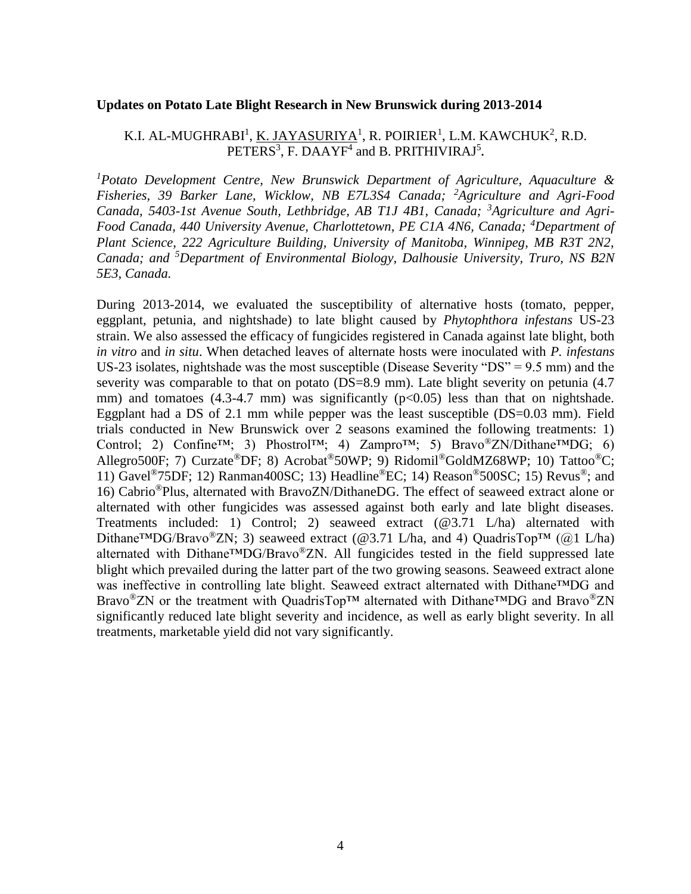#### **Updates on Potato Late Blight Research in New Brunswick during 2013-2014**

# K.I. AL-MUGHRABI $^{\rm l}$ , <u>K. JAYASURIYA',</u> R. POIRIER<sup>1</sup>, L.M. KAWCHUK<sup>2</sup>, R.D. PETERS<sup>3</sup>, F. DAAYF<sup>4</sup> and B. PRITHIVIRAJ<sup>5</sup>.

*<sup>1</sup>Potato Development Centre, New Brunswick Department of Agriculture, Aquaculture & Fisheries, 39 Barker Lane, Wicklow, NB E7L3S4 Canada; <sup>2</sup>Agriculture and Agri-Food*  Canada, 5403-1st Avenue South, Lethbridge, AB T1J 4B1, Canada; <sup>3</sup>Agriculture and Agri-*Food Canada, 440 University Avenue, Charlottetown, PE C1A 4N6, Canada; <sup>4</sup>Department of Plant Science, 222 Agriculture Building, University of Manitoba, Winnipeg, MB R3T 2N2, Canada; and <sup>5</sup>Department of Environmental Biology, Dalhousie University, Truro, NS B2N 5E3, Canada.*

During 2013-2014, we evaluated the susceptibility of alternative hosts (tomato, pepper, eggplant, petunia, and nightshade) to late blight caused by *Phytophthora infestans* US-23 strain. We also assessed the efficacy of fungicides registered in Canada against late blight, both *in vitro* and *in situ*. When detached leaves of alternate hosts were inoculated with *P. infestans* US-23 isolates, nightshade was the most susceptible (Disease Severity " $DS$ " = 9.5 mm) and the severity was comparable to that on potato (DS=8.9 mm). Late blight severity on petunia (4.7 mm) and tomatoes  $(4.3-4.7 \text{ mm})$  was significantly  $(p<0.05)$  less than that on nightshade. Eggplant had a DS of 2.1 mm while pepper was the least susceptible (DS=0.03 mm). Field trials conducted in New Brunswick over 2 seasons examined the following treatments: 1) Control; 2) Confine™; 3) Phostrol™; 4) Zampro™; 5) Bravo®ZN/Dithane™DG; 6) Allegro500F; 7) Curzate®DF; 8) Acrobat®50WP; 9) Ridomil®GoldMZ68WP; 10) Tattoo®C; 11) Gavel®75DF; 12) Ranman400SC; 13) Headline®EC; 14) Reason®500SC; 15) Revus®; and 16) Cabrio®Plus, alternated with BravoZN/DithaneDG. The effect of seaweed extract alone or alternated with other fungicides was assessed against both early and late blight diseases. Treatments included: 1) Control; 2) seaweed extract (@3.71 L/ha) alternated with Dithane<sup>TM</sup>DG/Bravo<sup>®</sup>ZN; 3) seaweed extract (@3.71 L/ha, and 4) QuadrisTop<sup>TM</sup> (@1 L/ha) alternated with Dithane™DG/Bravo®ZN. All fungicides tested in the field suppressed late blight which prevailed during the latter part of the two growing seasons. Seaweed extract alone was ineffective in controlling late blight. Seaweed extract alternated with Dithane™DG and Bravo<sup>®</sup>ZN or the treatment with QuadrisTop<sup>TM</sup> alternated with Dithane<sup>TM</sup>DG and Bravo<sup>®</sup>ZN significantly reduced late blight severity and incidence, as well as early blight severity. In all treatments, marketable yield did not vary significantly.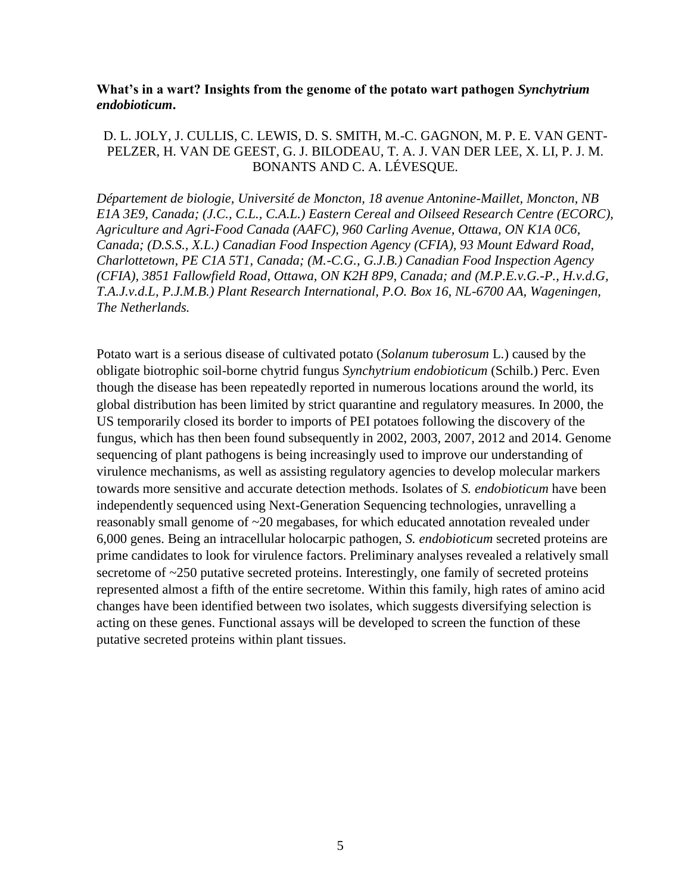### **What's in a wart? Insights from the genome of the potato wart pathogen** *Synchytrium endobioticum***.**

# D. L. JOLY, J. CULLIS, C. LEWIS, D. S. SMITH, M.-C. GAGNON, M. P. E. VAN GENT-PELZER, H. VAN DE GEEST, G. J. BILODEAU, T. A. J. VAN DER LEE, X. LI, P. J. M. BONANTS AND C. A. LÉVESQUE.

*Département de biologie, Université de Moncton, 18 avenue Antonine-Maillet, Moncton, NB E1A 3E9, Canada; (J.C., C.L., C.A.L.) Eastern Cereal and Oilseed Research Centre (ECORC), Agriculture and Agri-Food Canada (AAFC), 960 Carling Avenue, Ottawa, ON K1A 0C6, Canada; (D.S.S., X.L.) Canadian Food Inspection Agency (CFIA), 93 Mount Edward Road, Charlottetown, PE C1A 5T1, Canada; (M.-C.G., G.J.B.) Canadian Food Inspection Agency (CFIA), 3851 Fallowfield Road, Ottawa, ON K2H 8P9, Canada; and (M.P.E.v.G.-P., H.v.d.G, T.A.J.v.d.L, P.J.M.B.) Plant Research International, P.O. Box 16, NL-6700 AA, Wageningen, The Netherlands.*

Potato wart is a serious disease of cultivated potato (*Solanum tuberosum* L.) caused by the obligate biotrophic soil-borne chytrid fungus *Synchytrium endobioticum* (Schilb.) Perc. Even though the disease has been repeatedly reported in numerous locations around the world, its global distribution has been limited by strict quarantine and regulatory measures. In 2000, the US temporarily closed its border to imports of PEI potatoes following the discovery of the fungus, which has then been found subsequently in 2002, 2003, 2007, 2012 and 2014. Genome sequencing of plant pathogens is being increasingly used to improve our understanding of virulence mechanisms, as well as assisting regulatory agencies to develop molecular markers towards more sensitive and accurate detection methods. Isolates of *S. endobioticum* have been independently sequenced using Next-Generation Sequencing technologies, unravelling a reasonably small genome of ~20 megabases, for which educated annotation revealed under 6,000 genes. Being an intracellular holocarpic pathogen, *S. endobioticum* secreted proteins are prime candidates to look for virulence factors. Preliminary analyses revealed a relatively small secretome of ~250 putative secreted proteins. Interestingly, one family of secreted proteins represented almost a fifth of the entire secretome. Within this family, high rates of amino acid changes have been identified between two isolates, which suggests diversifying selection is acting on these genes. Functional assays will be developed to screen the function of these putative secreted proteins within plant tissues.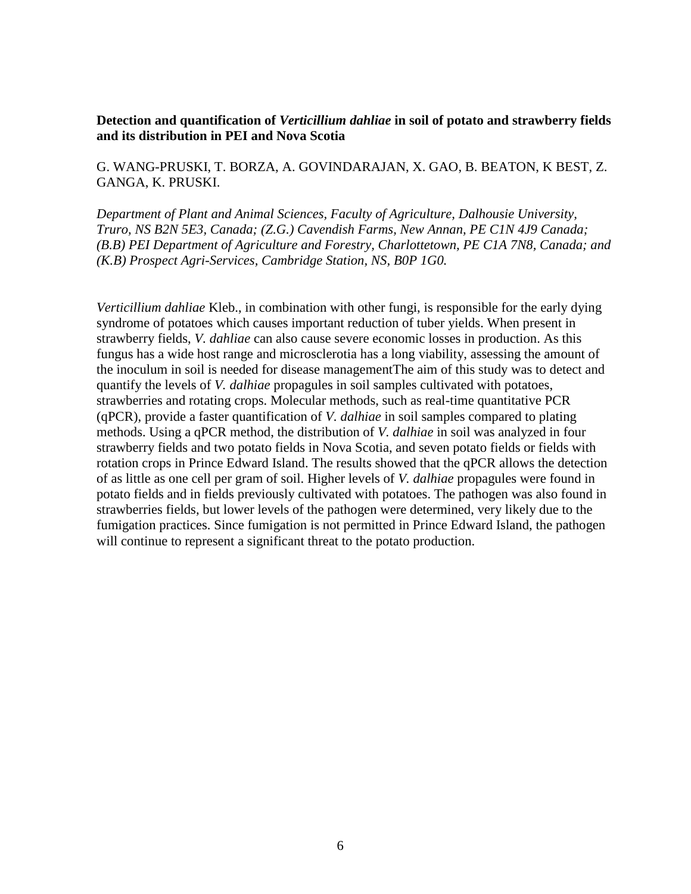# **Detection and quantification of** *Verticillium dahliae* **in soil of potato and strawberry fields and its distribution in PEI and Nova Scotia**

# G. WANG-PRUSKI, T. BORZA, A. GOVINDARAJAN, X. GAO, B. BEATON, K BEST, Z. GANGA, K. PRUSKI.

*Department of Plant and Animal Sciences, Faculty of Agriculture, Dalhousie University, Truro, NS B2N 5E3, Canada; (Z.G.) Cavendish Farms, New Annan, PE C1N 4J9 Canada; (B.B) PEI Department of Agriculture and Forestry, Charlottetown, PE C1A 7N8, Canada; and (K.B) Prospect Agri-Services, Cambridge Station, NS, B0P 1G0.*

*Verticillium dahliae* Kleb., in combination with other fungi, is responsible for the early dying syndrome of potatoes which causes important reduction of tuber yields. When present in strawberry fields, *V. dahliae* can also cause severe economic losses in production. As this fungus has a wide host range and microsclerotia has a long viability, assessing the amount of the inoculum in soil is needed for disease managementThe aim of this study was to detect and quantify the levels of *V. dalhiae* propagules in soil samples cultivated with potatoes, strawberries and rotating crops. Molecular methods, such as real-time quantitative PCR (qPCR), provide a faster quantification of *V. dalhiae* in soil samples compared to plating methods. Using a qPCR method, the distribution of *V. dalhiae* in soil was analyzed in four strawberry fields and two potato fields in Nova Scotia, and seven potato fields or fields with rotation crops in Prince Edward Island. The results showed that the qPCR allows the detection of as little as one cell per gram of soil. Higher levels of *V. dalhiae* propagules were found in potato fields and in fields previously cultivated with potatoes. The pathogen was also found in strawberries fields, but lower levels of the pathogen were determined, very likely due to the fumigation practices. Since fumigation is not permitted in Prince Edward Island, the pathogen will continue to represent a significant threat to the potato production.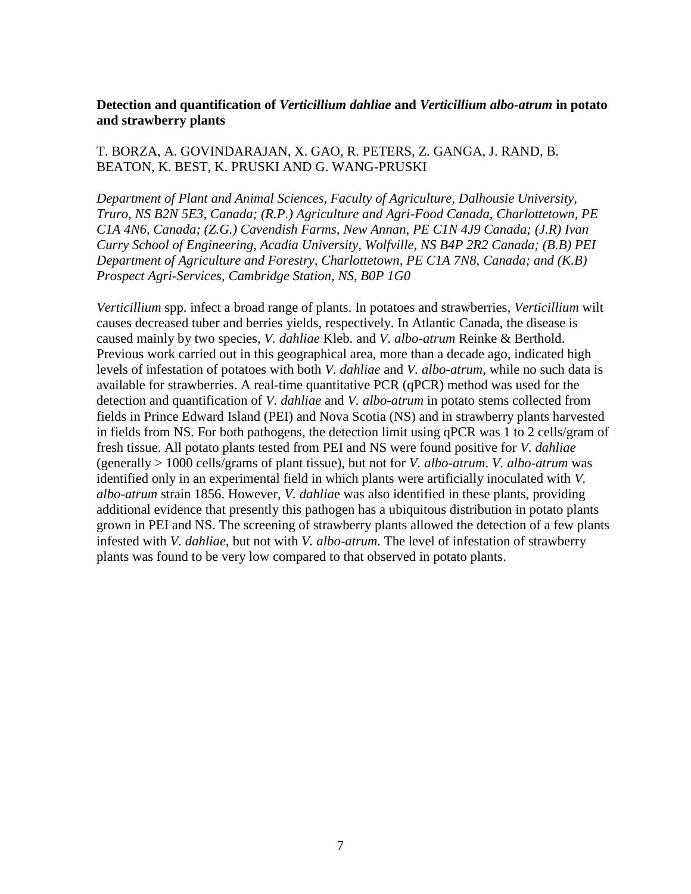# **Detection and quantification of** *Verticillium dahliae* **and** *Verticillium albo-atrum* **in potato and strawberry plants**

# T. BORZA, A. GOVINDARAJAN, X. GAO, R. PETERS, Z. GANGA, J. RAND, B. BEATON, K. BEST, K. PRUSKI AND G. WANG-PRUSKI

*Department of Plant and Animal Sciences, Faculty of Agriculture, Dalhousie University, Truro, NS B2N 5E3, Canada; (R.P.) Agriculture and Agri-Food Canada, Charlottetown, PE C1A 4N6, Canada; (Z.G.) Cavendish Farms, New Annan, PE C1N 4J9 Canada; (J.R) Ivan Curry School of Engineering, Acadia University, Wolfville, NS B4P 2R2 Canada; (B.B) PEI Department of Agriculture and Forestry, Charlottetown, PE C1A 7N8, Canada; and (K.B) Prospect Agri-Services, Cambridge Station, NS, B0P 1G0*

*Verticillium* spp. infect a broad range of plants. In potatoes and strawberries, *Verticillium* wilt causes decreased tuber and berries yields, respectively. In Atlantic Canada, the disease is caused mainly by two species, *V. dahliae* Kleb. and *V. albo-atrum* Reinke & Berthold. Previous work carried out in this geographical area, more than a decade ago, indicated high levels of infestation of potatoes with both *V. dahliae* and *V. albo-atrum,* while no such data is available for strawberries. A real-time quantitative PCR (qPCR) method was used for the detection and quantification of *V. dahliae* and *V. albo-atrum* in potato stems collected from fields in Prince Edward Island (PEI) and Nova Scotia (NS) and in strawberry plants harvested in fields from NS. For both pathogens, the detection limit using qPCR was 1 to 2 cells/gram of fresh tissue. All potato plants tested from PEI and NS were found positive for *V. dahliae*  (generally > 1000 cells/grams of plant tissue), but not for *V. albo-atrum*. *V. albo-atrum* was identified only in an experimental field in which plants were artificially inoculated with *V. albo-atrum* strain 1856. However, *V. dahlia*e was also identified in these plants, providing additional evidence that presently this pathogen has a ubiquitous distribution in potato plants grown in PEI and NS. The screening of strawberry plants allowed the detection of a few plants infested with *V. dahliae*, but not with *V. albo-atrum.* The level of infestation of strawberry plants was found to be very low compared to that observed in potato plants.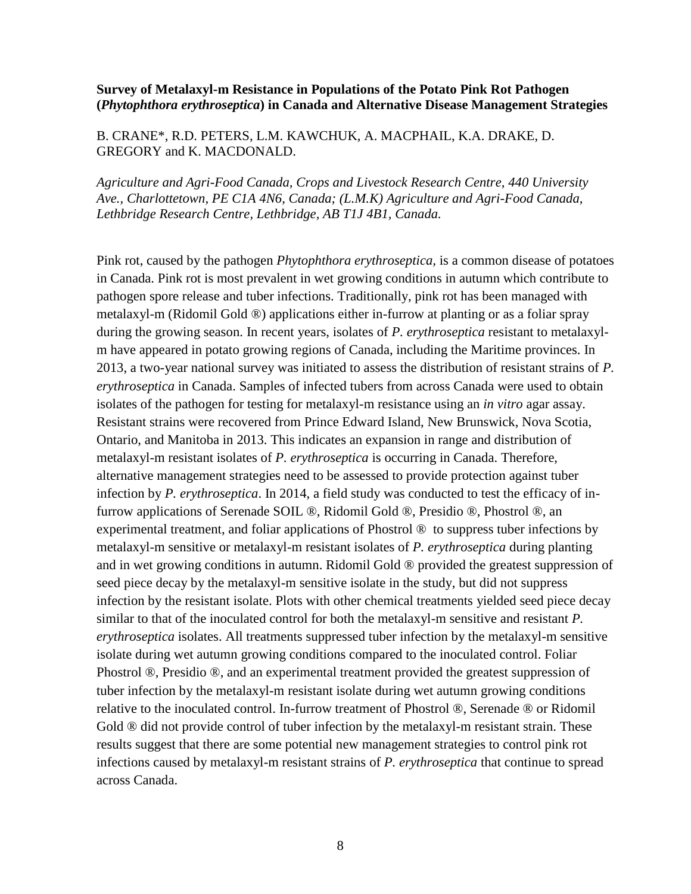# **Survey of Metalaxyl-m Resistance in Populations of the Potato Pink Rot Pathogen (***Phytophthora erythroseptica***) in Canada and Alternative Disease Management Strategies**

B. CRANE\*, R.D. PETERS, L.M. KAWCHUK, A. MACPHAIL, K.A. DRAKE, D. GREGORY and K. MACDONALD.

*Agriculture and Agri-Food Canada, Crops and Livestock Research Centre, 440 University Ave., Charlottetown, PE C1A 4N6, Canada; (L.M.K) Agriculture and Agri-Food Canada, Lethbridge Research Centre, Lethbridge, AB T1J 4B1, Canada.*

Pink rot, caused by the pathogen *Phytophthora erythroseptica,* is a common disease of potatoes in Canada. Pink rot is most prevalent in wet growing conditions in autumn which contribute to pathogen spore release and tuber infections. Traditionally, pink rot has been managed with metalaxyl-m (Ridomil Gold ®) applications either in-furrow at planting or as a foliar spray during the growing season. In recent years, isolates of *P. erythroseptica* resistant to metalaxylm have appeared in potato growing regions of Canada, including the Maritime provinces. In 2013, a two-year national survey was initiated to assess the distribution of resistant strains of *P. erythroseptica* in Canada. Samples of infected tubers from across Canada were used to obtain isolates of the pathogen for testing for metalaxyl-m resistance using an *in vitro* agar assay. Resistant strains were recovered from Prince Edward Island, New Brunswick, Nova Scotia, Ontario, and Manitoba in 2013. This indicates an expansion in range and distribution of metalaxyl-m resistant isolates of *P. erythroseptica* is occurring in Canada. Therefore, alternative management strategies need to be assessed to provide protection against tuber infection by *P. erythroseptica*. In 2014, a field study was conducted to test the efficacy of infurrow applications of Serenade SOIL ®, Ridomil Gold ®, Presidio ®, Phostrol ®, an experimental treatment, and foliar applications of Phostrol ® to suppress tuber infections by metalaxyl-m sensitive or metalaxyl-m resistant isolates of *P. erythroseptica* during planting and in wet growing conditions in autumn. Ridomil Gold ® provided the greatest suppression of seed piece decay by the metalaxyl-m sensitive isolate in the study, but did not suppress infection by the resistant isolate. Plots with other chemical treatments yielded seed piece decay similar to that of the inoculated control for both the metalaxyl-m sensitive and resistant *P. erythroseptica* isolates. All treatments suppressed tuber infection by the metalaxyl-m sensitive isolate during wet autumn growing conditions compared to the inoculated control. Foliar Phostrol ®, Presidio ®, and an experimental treatment provided the greatest suppression of tuber infection by the metalaxyl-m resistant isolate during wet autumn growing conditions relative to the inoculated control. In-furrow treatment of Phostrol ®, Serenade ® or Ridomil Gold  $\otimes$  did not provide control of tuber infection by the metalaxyl-m resistant strain. These results suggest that there are some potential new management strategies to control pink rot infections caused by metalaxyl-m resistant strains of *P. erythroseptica* that continue to spread across Canada.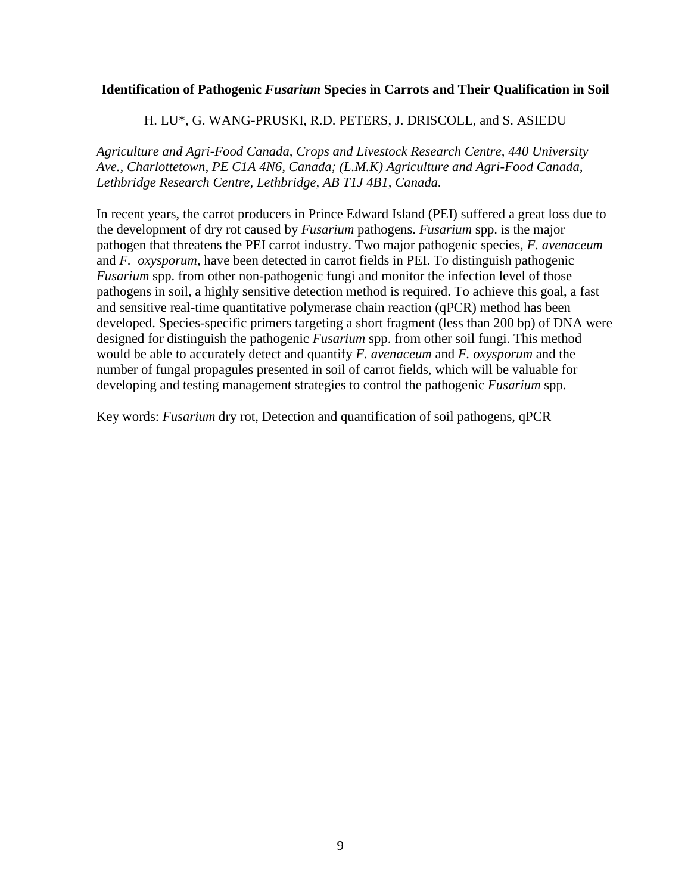## **Identification of Pathogenic** *Fusarium* **Species in Carrots and Their Qualification in Soil**

## H. LU\*, G. WANG-PRUSKI, R.D. PETERS, J. DRISCOLL, and S. ASIEDU

*Agriculture and Agri-Food Canada, Crops and Livestock Research Centre, 440 University Ave., Charlottetown, PE C1A 4N6, Canada; (L.M.K) Agriculture and Agri-Food Canada, Lethbridge Research Centre, Lethbridge, AB T1J 4B1, Canada.*

In recent years, the carrot producers in Prince Edward Island (PEI) suffered a great loss due to the development of dry rot caused by *Fusarium* pathogens. *Fusarium* spp. is the major pathogen that threatens the PEI carrot industry. Two major pathogenic species, *F. avenaceum* and *F. oxysporum*, have been detected in carrot fields in PEI. To distinguish pathogenic *Fusarium* spp. from other non-pathogenic fungi and monitor the infection level of those pathogens in soil, a highly sensitive detection method is required. To achieve this goal, a fast and sensitive real-time quantitative polymerase chain reaction (qPCR) method has been developed. Species-specific primers targeting a short fragment (less than 200 bp) of DNA were designed for distinguish the pathogenic *Fusarium* spp. from other soil fungi. This method would be able to accurately detect and quantify *F. avenaceum* and *F. oxysporum* and the number of fungal propagules presented in soil of carrot fields, which will be valuable for developing and testing management strategies to control the pathogenic *Fusarium* spp.

Key words: *Fusarium* dry rot, Detection and quantification of soil pathogens, qPCR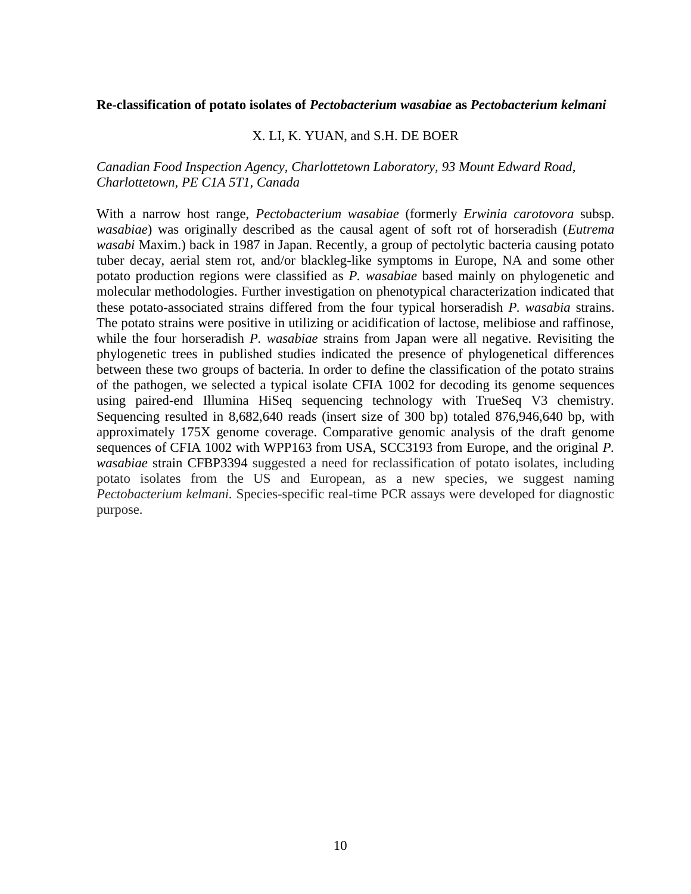#### **Re-classification of potato isolates of** *Pectobacterium wasabiae* **as** *Pectobacterium kelmani*

#### X. LI, K. YUAN, and S.H. DE BOER

# *Canadian Food Inspection Agency, Charlottetown Laboratory, 93 Mount Edward Road, Charlottetown, PE C1A 5T1, Canada*

With a narrow host range, *Pectobacterium wasabiae* (formerly *Erwinia carotovora* subsp. *wasabiae*) was originally described as the causal agent of soft rot of horseradish (*Eutrema wasabi* Maxim.) back in 1987 in Japan. Recently, a group of pectolytic bacteria causing potato tuber decay, aerial stem rot, and/or blackleg-like symptoms in Europe, NA and some other potato production regions were classified as *P. wasabiae* based mainly on phylogenetic and molecular methodologies. Further investigation on phenotypical characterization indicated that these potato-associated strains differed from the four typical horseradish *P. wasabia* strains. The potato strains were positive in utilizing or acidification of lactose, melibiose and raffinose, while the four horseradish *P. wasabiae* strains from Japan were all negative. Revisiting the phylogenetic trees in published studies indicated the presence of phylogenetical differences between these two groups of bacteria. In order to define the classification of the potato strains of the pathogen, we selected a typical isolate CFIA 1002 for decoding its genome sequences using paired-end Illumina HiSeq sequencing technology with TrueSeq V3 chemistry. Sequencing resulted in 8,682,640 reads (insert size of 300 bp) totaled 876,946,640 bp, with approximately 175X genome coverage. Comparative genomic analysis of the draft genome sequences of CFIA 1002 with WPP163 from USA, SCC3193 from Europe, and the original *P. wasabiae* strain CFBP3394 suggested a need for reclassification of potato isolates, including potato isolates from the US and European, as a new species, we suggest naming *Pectobacterium kelmani.* Species-specific real-time PCR assays were developed for diagnostic purpose.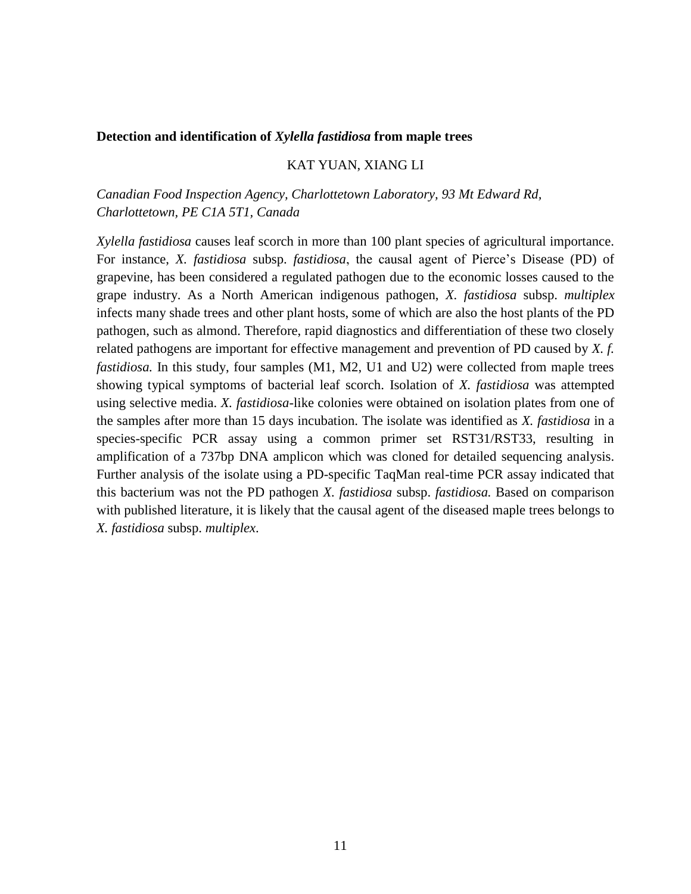#### **Detection and identification of** *Xylella fastidiosa* **from maple trees**

#### KAT YUAN, XIANG LI

*Canadian Food Inspection Agency, Charlottetown Laboratory, 93 Mt Edward Rd, Charlottetown, PE C1A 5T1, Canada*

*Xylella fastidiosa* causes leaf scorch in more than 100 plant species of agricultural importance. For instance, *X. fastidiosa* subsp. *fastidiosa*, the causal agent of Pierce's Disease (PD) of grapevine, has been considered a regulated pathogen due to the economic losses caused to the grape industry. As a North American indigenous pathogen, *X. fastidiosa* subsp. *multiplex* infects many shade trees and other plant hosts, some of which are also the host plants of the PD pathogen, such as almond. Therefore, rapid diagnostics and differentiation of these two closely related pathogens are important for effective management and prevention of PD caused by *X. f. fastidiosa.* In this study, four samples (M1, M2, U1 and U2) were collected from maple trees showing typical symptoms of bacterial leaf scorch. Isolation of *X. fastidiosa* was attempted using selective media. *X. fastidiosa*-like colonies were obtained on isolation plates from one of the samples after more than 15 days incubation. The isolate was identified as *X. fastidiosa* in a species-specific PCR assay using a common primer set RST31/RST33, resulting in amplification of a 737bp DNA amplicon which was cloned for detailed sequencing analysis. Further analysis of the isolate using a PD-specific TaqMan real-time PCR assay indicated that this bacterium was not the PD pathogen *X. fastidiosa* subsp. *fastidiosa.* Based on comparison with published literature, it is likely that the causal agent of the diseased maple trees belongs to *X. fastidiosa* subsp. *multiplex*.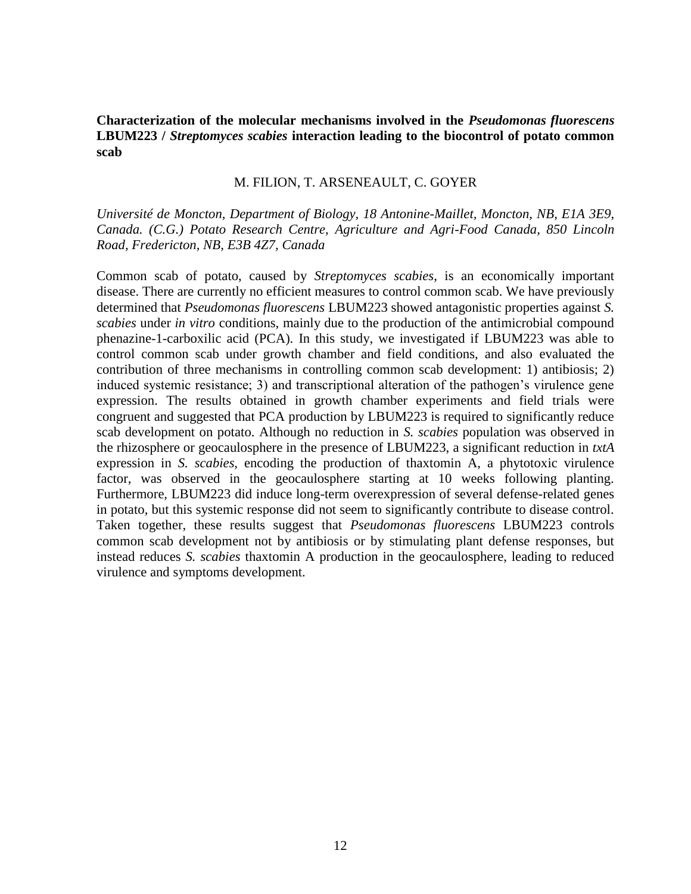## **Characterization of the molecular mechanisms involved in the** *Pseudomonas fluorescens* **LBUM223 /** *Streptomyces scabies* **interaction leading to the biocontrol of potato common scab**

#### M. FILION, T. ARSENEAULT, C. GOYER

*Université de Moncton, Department of Biology, 18 Antonine-Maillet, Moncton, NB, E1A 3E9, Canada. (C.G.) Potato Research Centre, Agriculture and Agri-Food Canada, 850 Lincoln Road, Fredericton, NB, E3B 4Z7, Canada*

Common scab of potato, caused by *Streptomyces scabies*, is an economically important disease. There are currently no efficient measures to control common scab. We have previously determined that *Pseudomonas fluorescens* LBUM223 showed antagonistic properties against *S. scabies* under *in vitro* conditions, mainly due to the production of the antimicrobial compound phenazine-1-carboxilic acid (PCA). In this study, we investigated if LBUM223 was able to control common scab under growth chamber and field conditions, and also evaluated the contribution of three mechanisms in controlling common scab development: 1) antibiosis; 2) induced systemic resistance; 3) and transcriptional alteration of the pathogen's virulence gene expression. The results obtained in growth chamber experiments and field trials were congruent and suggested that PCA production by LBUM223 is required to significantly reduce scab development on potato. Although no reduction in *S. scabies* population was observed in the rhizosphere or geocaulosphere in the presence of LBUM223, a significant reduction in *txtA*  expression in *S. scabies,* encoding the production of thaxtomin A, a phytotoxic virulence factor, was observed in the geocaulosphere starting at 10 weeks following planting. Furthermore, LBUM223 did induce long-term overexpression of several defense-related genes in potato, but this systemic response did not seem to significantly contribute to disease control. Taken together, these results suggest that *Pseudomonas fluorescens* LBUM223 controls common scab development not by antibiosis or by stimulating plant defense responses, but instead reduces *S. scabies* thaxtomin A production in the geocaulosphere, leading to reduced virulence and symptoms development.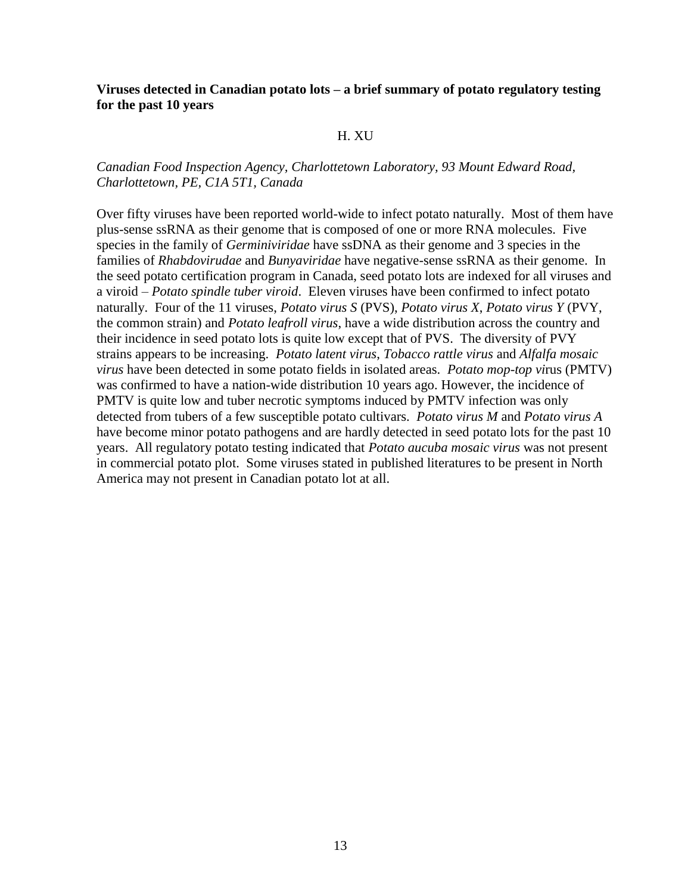**Viruses detected in Canadian potato lots – a brief summary of potato regulatory testing for the past 10 years**

#### H. XU

# *Canadian Food Inspection Agency, Charlottetown Laboratory, 93 Mount Edward Road, Charlottetown, PE, C1A 5T1, Canada*

Over fifty viruses have been reported world-wide to infect potato naturally. Most of them have plus-sense ssRNA as their genome that is composed of one or more RNA molecules. Five species in the family of *Germiniviridae* have ssDNA as their genome and 3 species in the families of *Rhabdovirudae* and *Bunyaviridae* have negative-sense ssRNA as their genome. In the seed potato certification program in Canada, seed potato lots are indexed for all viruses and a viroid – *Potato spindle tuber viroid*. Eleven viruses have been confirmed to infect potato naturally. Four of the 11 viruses, *Potato virus S* (PVS), *Potato virus X*, *Potato virus Y* (PVY, the common strain) and *Potato leafroll virus*, have a wide distribution across the country and their incidence in seed potato lots is quite low except that of PVS. The diversity of PVY strains appears to be increasing. *Potato latent virus*, *Tobacco rattle virus* and *Alfalfa mosaic virus* have been detected in some potato fields in isolated areas. *Potato mop-top vi*rus (PMTV) was confirmed to have a nation-wide distribution 10 years ago. However, the incidence of PMTV is quite low and tuber necrotic symptoms induced by PMTV infection was only detected from tubers of a few susceptible potato cultivars. *Potato virus M* and *Potato virus A*  have become minor potato pathogens and are hardly detected in seed potato lots for the past 10 years. All regulatory potato testing indicated that *Potato aucuba mosaic virus* was not present in commercial potato plot. Some viruses stated in published literatures to be present in North America may not present in Canadian potato lot at all.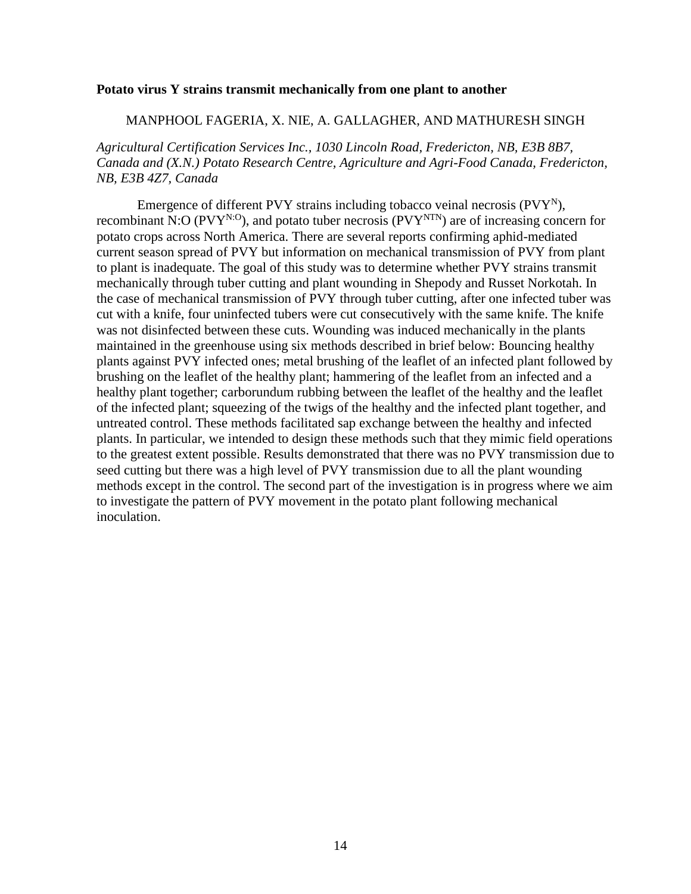#### **Potato virus Y strains transmit mechanically from one plant to another**

### MANPHOOL FAGERIA, X. NIE, A. GALLAGHER, AND MATHURESH SINGH

*Agricultural Certification Services Inc., 1030 Lincoln Road, Fredericton, NB, E3B 8B7, Canada and (X.N.) Potato Research Centre, Agriculture and Agri-Food Canada, Fredericton, NB, E3B 4Z7, Canada*

Emergence of different PVY strains including tobacco veinal necrosis ( $PVY^N$ ), recombinant N:O ( $PVY^{N:O}$ ), and potato tuber necrosis ( $PVY^{NTN}$ ) are of increasing concern for potato crops across North America. There are several reports confirming aphid-mediated current season spread of PVY but information on mechanical transmission of PVY from plant to plant is inadequate. The goal of this study was to determine whether PVY strains transmit mechanically through tuber cutting and plant wounding in Shepody and Russet Norkotah. In the case of mechanical transmission of PVY through tuber cutting, after one infected tuber was cut with a knife, four uninfected tubers were cut consecutively with the same knife. The knife was not disinfected between these cuts. Wounding was induced mechanically in the plants maintained in the greenhouse using six methods described in brief below: Bouncing healthy plants against PVY infected ones; metal brushing of the leaflet of an infected plant followed by brushing on the leaflet of the healthy plant; hammering of the leaflet from an infected and a healthy plant together; carborundum rubbing between the leaflet of the healthy and the leaflet of the infected plant; squeezing of the twigs of the healthy and the infected plant together, and untreated control. These methods facilitated sap exchange between the healthy and infected plants. In particular, we intended to design these methods such that they mimic field operations to the greatest extent possible. Results demonstrated that there was no PVY transmission due to seed cutting but there was a high level of PVY transmission due to all the plant wounding methods except in the control. The second part of the investigation is in progress where we aim to investigate the pattern of PVY movement in the potato plant following mechanical inoculation.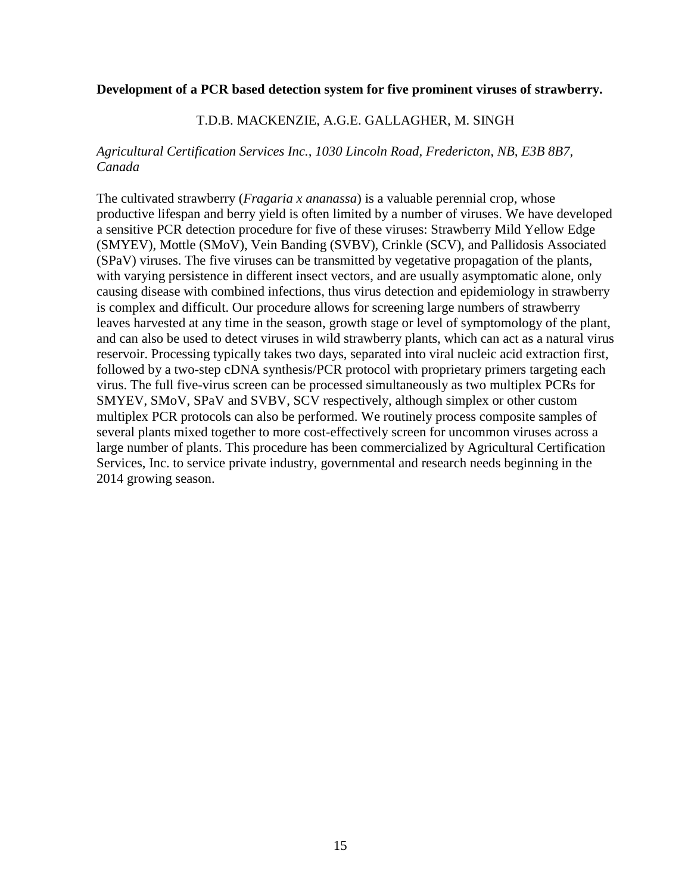#### **Development of a PCR based detection system for five prominent viruses of strawberry.**

# T.D.B. MACKENZIE, A.G.E. GALLAGHER, M. SINGH

# *Agricultural Certification Services Inc., 1030 Lincoln Road, Fredericton, NB, E3B 8B7, Canada*

The cultivated strawberry (*Fragaria x ananassa*) is a valuable perennial crop, whose productive lifespan and berry yield is often limited by a number of viruses. We have developed a sensitive PCR detection procedure for five of these viruses: Strawberry Mild Yellow Edge (SMYEV), Mottle (SMoV), Vein Banding (SVBV), Crinkle (SCV), and Pallidosis Associated (SPaV) viruses. The five viruses can be transmitted by vegetative propagation of the plants, with varying persistence in different insect vectors, and are usually asymptomatic alone, only causing disease with combined infections, thus virus detection and epidemiology in strawberry is complex and difficult. Our procedure allows for screening large numbers of strawberry leaves harvested at any time in the season, growth stage or level of symptomology of the plant, and can also be used to detect viruses in wild strawberry plants, which can act as a natural virus reservoir. Processing typically takes two days, separated into viral nucleic acid extraction first, followed by a two-step cDNA synthesis/PCR protocol with proprietary primers targeting each virus. The full five-virus screen can be processed simultaneously as two multiplex PCRs for SMYEV, SMoV, SPaV and SVBV, SCV respectively, although simplex or other custom multiplex PCR protocols can also be performed. We routinely process composite samples of several plants mixed together to more cost-effectively screen for uncommon viruses across a large number of plants. This procedure has been commercialized by Agricultural Certification Services, Inc. to service private industry, governmental and research needs beginning in the 2014 growing season.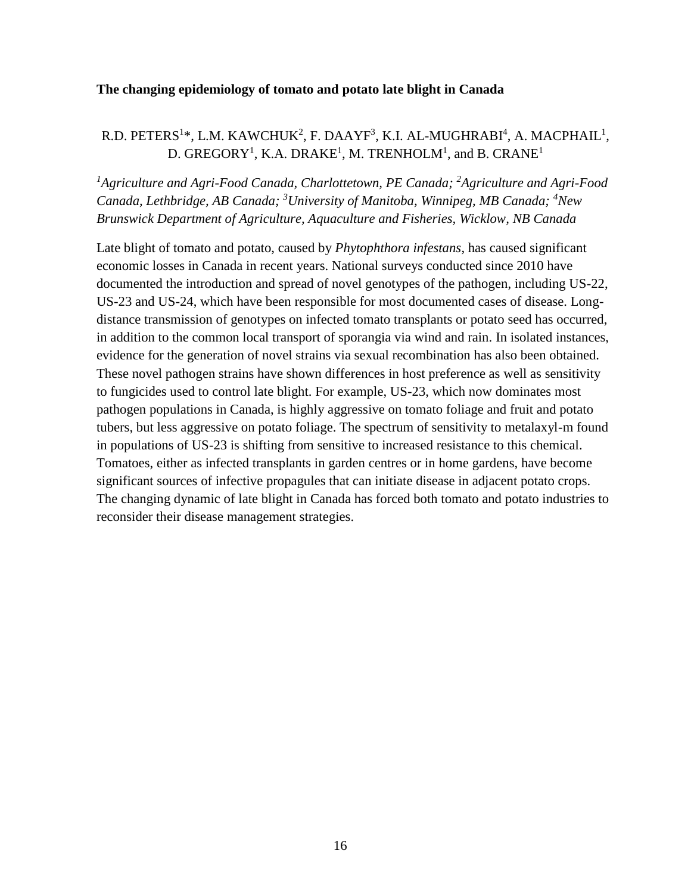### **The changing epidemiology of tomato and potato late blight in Canada**

# R.D. PETERS<sup>1</sup>\*, L.M. KAWCHUK<sup>2</sup>, F. DAAYF<sup>3</sup>, K.I. AL-MUGHRABI<sup>4</sup>, A. MACPHAIL<sup>1</sup>, D.  ${\rm GREGORY^1}$ , K.A.  ${\rm DRAKE^1}$ , M.  ${\rm TRENHOLM^1}$ , and B.  ${\rm CRANE^1}$

*<sup>1</sup>Agriculture and Agri-Food Canada, Charlottetown, PE Canada; <sup>2</sup>Agriculture and Agri-Food Canada, Lethbridge, AB Canada; <sup>3</sup>University of Manitoba, Winnipeg, MB Canada; <sup>4</sup>New Brunswick Department of Agriculture, Aquaculture and Fisheries, Wicklow, NB Canada*

Late blight of tomato and potato, caused by *Phytophthora infestans*, has caused significant economic losses in Canada in recent years. National surveys conducted since 2010 have documented the introduction and spread of novel genotypes of the pathogen, including US-22, US-23 and US-24, which have been responsible for most documented cases of disease. Longdistance transmission of genotypes on infected tomato transplants or potato seed has occurred, in addition to the common local transport of sporangia via wind and rain. In isolated instances, evidence for the generation of novel strains via sexual recombination has also been obtained. These novel pathogen strains have shown differences in host preference as well as sensitivity to fungicides used to control late blight. For example, US-23, which now dominates most pathogen populations in Canada, is highly aggressive on tomato foliage and fruit and potato tubers, but less aggressive on potato foliage. The spectrum of sensitivity to metalaxyl-m found in populations of US-23 is shifting from sensitive to increased resistance to this chemical. Tomatoes, either as infected transplants in garden centres or in home gardens, have become significant sources of infective propagules that can initiate disease in adjacent potato crops. The changing dynamic of late blight in Canada has forced both tomato and potato industries to reconsider their disease management strategies.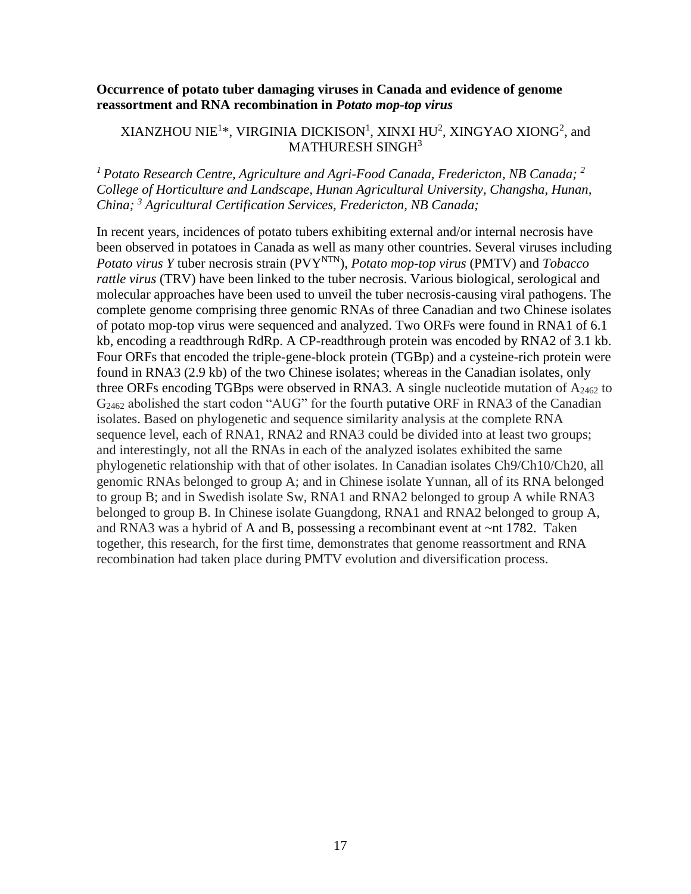## **Occurrence of potato tuber damaging viruses in Canada and evidence of genome reassortment and RNA recombination in** *Potato mop-top virus*

# XIANZHOU NIE<sup>1</sup>\*, VIRGINIA DICKISON<sup>1</sup>, XINXI HU<sup>2</sup>, XINGYAO XIONG<sup>2</sup>, and MATHURESH SINGH<sup>3</sup>

# *<sup>1</sup>Potato Research Centre, Agriculture and Agri-Food Canada, Fredericton, NB Canada; <sup>2</sup> College of Horticulture and Landscape, Hunan Agricultural University, Changsha, Hunan, China; <sup>3</sup> Agricultural Certification Services, Fredericton, NB Canada;*

In recent years, incidences of potato tubers exhibiting external and/or internal necrosis have been observed in potatoes in Canada as well as many other countries. Several viruses including *Potato virus Y* tuber necrosis strain (PVY<sup>NTN</sup>), *Potato mop-top virus* (PMTV) and *Tobacco rattle virus* (TRV) have been linked to the tuber necrosis. Various biological, serological and molecular approaches have been used to unveil the tuber necrosis-causing viral pathogens. The complete genome comprising three genomic RNAs of three Canadian and two Chinese isolates of potato mop-top virus were sequenced and analyzed. Two ORFs were found in RNA1 of 6.1 kb, encoding a readthrough RdRp. A CP-readthrough protein was encoded by RNA2 of 3.1 kb. Four ORFs that encoded the triple-gene-block protein (TGBp) and a cysteine-rich protein were found in RNA3 (2.9 kb) of the two Chinese isolates; whereas in the Canadian isolates, only three ORFs encoding TGBps were observed in RNA3. A single nucleotide mutation of A<sup>2462</sup> to G<sup>2462</sup> abolished the start codon "AUG" for the fourth putative ORF in RNA3 of the Canadian isolates. Based on phylogenetic and sequence similarity analysis at the complete RNA sequence level, each of RNA1, RNA2 and RNA3 could be divided into at least two groups; and interestingly, not all the RNAs in each of the analyzed isolates exhibited the same phylogenetic relationship with that of other isolates. In Canadian isolates Ch9/Ch10/Ch20, all genomic RNAs belonged to group A; and in Chinese isolate Yunnan, all of its RNA belonged to group B; and in Swedish isolate Sw, RNA1 and RNA2 belonged to group A while RNA3 belonged to group B. In Chinese isolate Guangdong, RNA1 and RNA2 belonged to group A, and RNA3 was a hybrid of A and B, possessing a recombinant event at ~nt 1782. Taken together, this research, for the first time, demonstrates that genome reassortment and RNA recombination had taken place during PMTV evolution and diversification process.